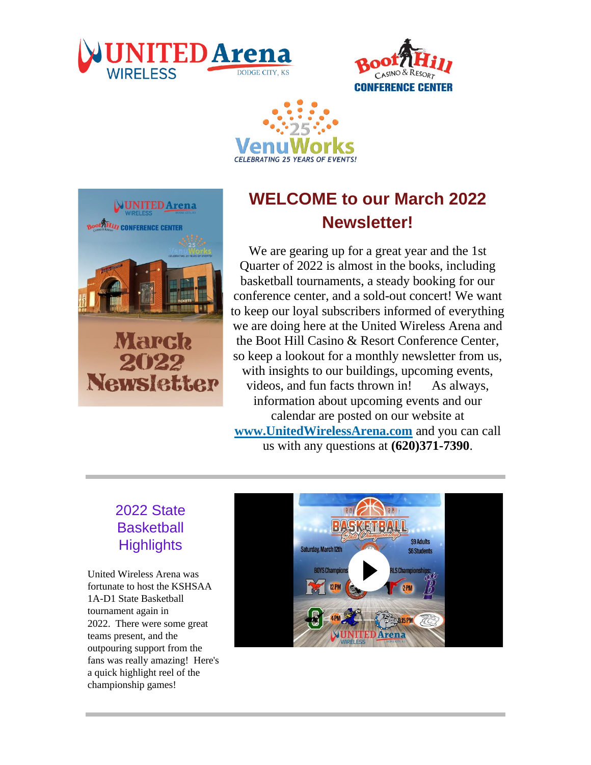







# **WELCOME to our March 2022 Newsletter!**

We are gearing up for a great year and the 1st Quarter of 2022 is almost in the books, including basketball tournaments, a steady booking for our conference center, and a sold-out concert! We want to keep our loyal subscribers informed of everything we are doing here at the United Wireless Arena and the Boot Hill Casino & Resort Conference Center, so keep a lookout for a monthly newsletter from us, with insights to our buildings, upcoming events, videos, and fun facts thrown in! As always, information about upcoming events and our calendar are posted on our website at **[www.UnitedWirelessArena.com](http://links.engage.ticketmaster.com/els/v2/X64_TvL-DLfd/R0VDSG90Z3V4bnlDdERPNkdtSDVHblYyYmxoMWRKRVpFa05tekp3b3VFQ21UdllXc2N5WTBpOGlxS1lGb25mOEdTdy8yMmFiVmU4MXVlM1poUVZRWXpOamVtanBZNDRqb2s3dkQ0VVhnTjQ9S0/)** and you can call us with any questions at **(620)371-7390**.

### 2022 State **Basketball Highlights**

United Wireless Arena was fortunate to host the KSHSAA 1A-D1 State Basketball tournament again in 2022. There were some great teams present, and the outpouring support from the fans was really amazing! Here's a quick highlight reel of the championship games!

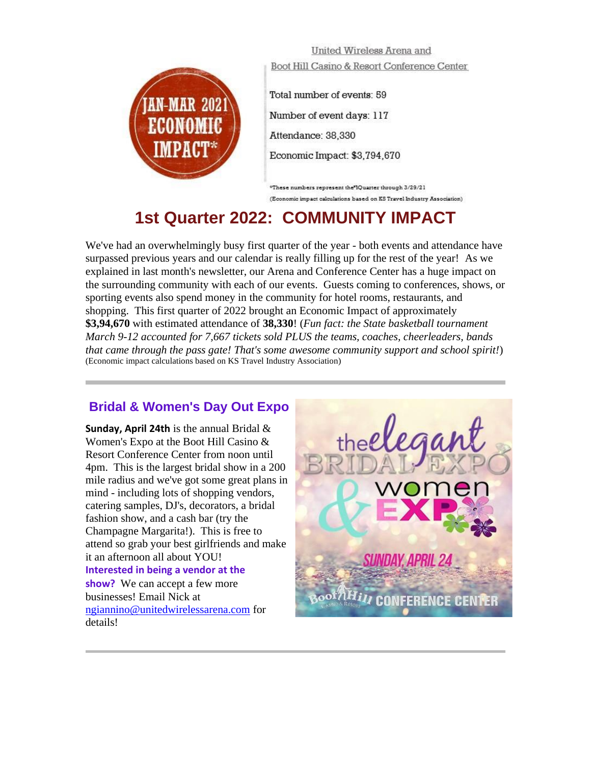

United Wireless Arena and Boot Hill Casino & Resort Conference Center

Total number of events: 59 Number of event days: 117 Attendance: 38,330 Economic Impact: \$3,794,670

\*These numbers represent the "IQuarter through 3/29/21 (Economic impact calculations based on KS Travel Industry Association)

## **1st Quarter 2022: COMMUNITY IMPACT**

We've had an overwhelmingly busy first quarter of the year - both events and attendance have surpassed previous years and our calendar is really filling up for the rest of the year! As we explained in last month's newsletter, our Arena and Conference Center has a huge impact on the surrounding community with each of our events. Guests coming to conferences, shows, or sporting events also spend money in the community for hotel rooms, restaurants, and shopping. This first quarter of 2022 brought an Economic Impact of approximately **\$3,94,670** with estimated attendance of **38,330**! (*Fun fact: the State basketball tournament March 9-12 accounted for 7,667 tickets sold PLUS the teams, coaches, cheerleaders, bands that came through the pass gate! That's some awesome community support and school spirit!*) (Economic impact calculations based on KS Travel Industry Association)

#### **Bridal & Women's Day Out Expo**

**Sunday, April 24th** is the annual Bridal & Women's Expo at the Boot Hill Casino & Resort Conference Center from noon until 4pm. This is the largest bridal show in a 200 mile radius and we've got some great plans in mind - including lots of shopping vendors, catering samples, DJ's, decorators, a bridal fashion show, and a cash bar (try the Champagne Margarita!). This is free to attend so grab your best girlfriends and make it an afternoon all about YOU! **Interested in being a vendor at the show?** We can accept a few more businesses! Email Nick at [ngiannino@unitedwirelessarena.com](mailto:ngiannino@unitedwirelessarena.com) for details!